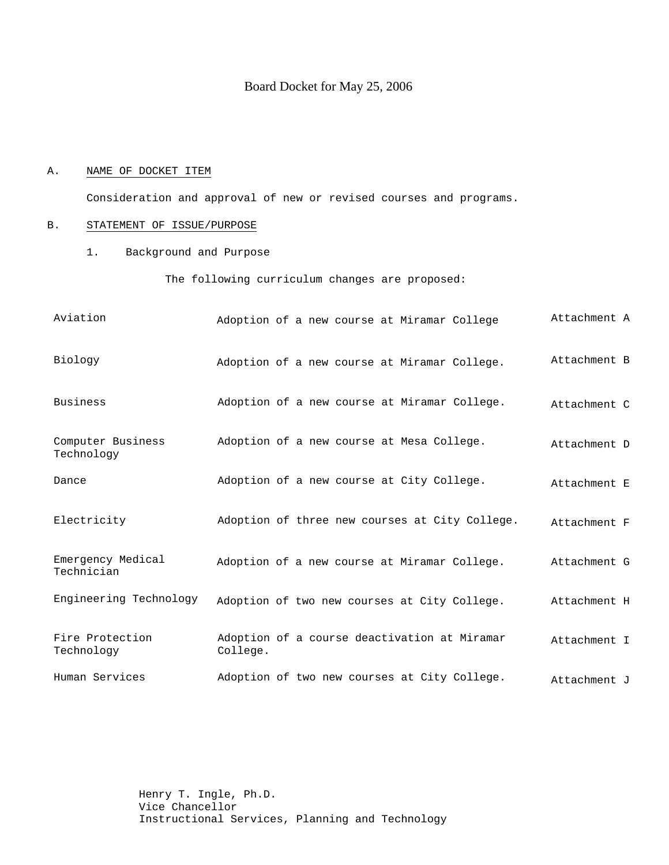# Board Docket for May 25, 2006

### A. NAME OF DOCKET ITEM

Consideration and approval of new or revised courses and programs.

# B. STATEMENT OF ISSUE/PURPOSE

1. Background and Purpose

The following curriculum changes are proposed:

| Aviation                        | Adoption of a new course at Miramar College              | Attachment A |
|---------------------------------|----------------------------------------------------------|--------------|
| Biology                         | Adoption of a new course at Miramar College.             | Attachment B |
| Business                        | Adoption of a new course at Miramar College.             | Attachment C |
| Computer Business<br>Technology | Adoption of a new course at Mesa College.                | Attachment D |
| Dance                           | Adoption of a new course at City College.                | Attachment E |
| Electricity                     | Adoption of three new courses at City College.           | Attachment F |
| Emergency Medical<br>Technician | Adoption of a new course at Miramar College.             | Attachment G |
| Engineering Technology          | Adoption of two new courses at City College.             | Attachment H |
| Fire Protection<br>Technology   | Adoption of a course deactivation at Miramar<br>College. | Attachment I |
| Human Services                  | Adoption of two new courses at City College.             | Attachment J |

Henry T. Ingle, Ph.D. Vice Chancellor Instructional Services, Planning and Technology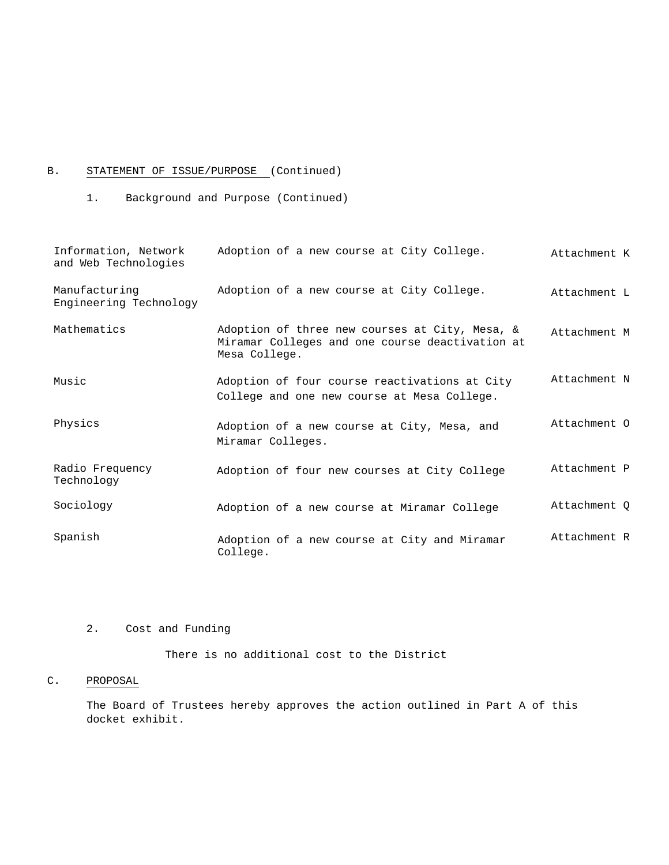# B. STATEMENT OF ISSUE/PURPOSE (Continued)

1. Background and Purpose (Continued)

| Information, Network<br>and Web Technologies | Adoption of a new course at City College.                                                                          | Attachment K |
|----------------------------------------------|--------------------------------------------------------------------------------------------------------------------|--------------|
| Manufacturing<br>Engineering Technology      | Adoption of a new course at City College.                                                                          | Attachment L |
| Mathematics                                  | Adoption of three new courses at City, Mesa, &<br>Miramar Colleges and one course deactivation at<br>Mesa College. | Attachment M |
| Music                                        | Adoption of four course reactivations at City<br>College and one new course at Mesa College.                       | Attachment N |
| Physics                                      | Adoption of a new course at City, Mesa, and<br>Miramar Colleges.                                                   | Attachment O |
| Radio Frequency<br>Technology                | Adoption of four new courses at City College                                                                       | Attachment P |
| Sociology                                    | Adoption of a new course at Miramar College                                                                        | Attachment Q |
| Spanish                                      | Adoption of a new course at City and Miramar<br>College.                                                           | Attachment R |

# 2. Cost and Funding

There is no additional cost to the District

# C. PROPOSAL

The Board of Trustees hereby approves the action outlined in Part A of this docket exhibit.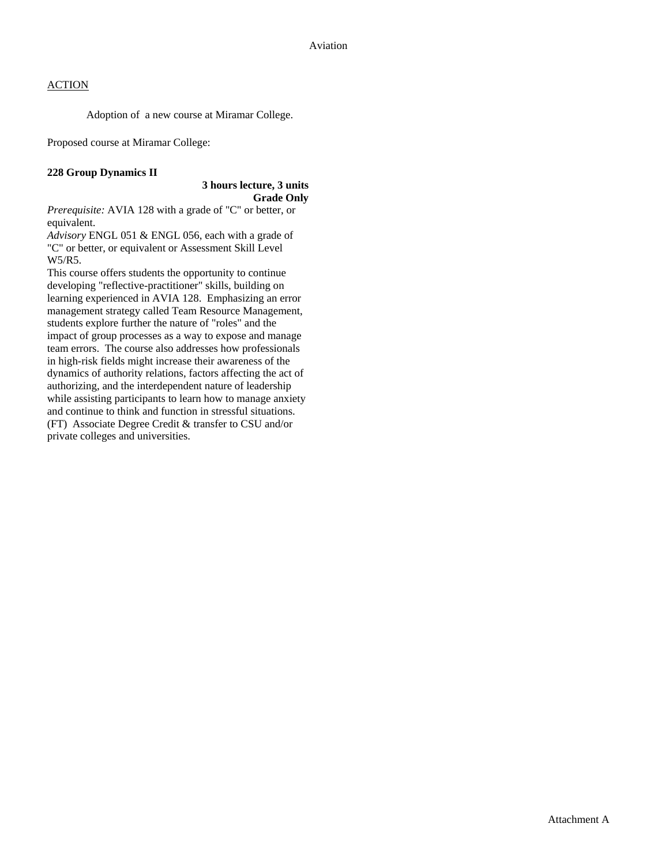Adoption of a new course at Miramar College.

Proposed course at Miramar College:

# **228 Group Dynamics II**

# **3 hours lecture, 3 units Grade Only**

*Prerequisite:* AVIA 128 with a grade of "C" or better, or equivalent.

*Advisory* ENGL 051 & ENGL 056, each with a grade of "C" or better, or equivalent or Assessment Skill Level W5/R5.

This course offers students the opportunity to continue developing "reflective-practitioner" skills, building on learning experienced in AVIA 128. Emphasizing an error management strategy called Team Resource Management, students explore further the nature of "roles" and the impact of group processes as a way to expose and manage team errors. The course also addresses how professionals in high-risk fields might increase their awareness of the dynamics of authority relations, factors affecting the act of authorizing, and the interdependent nature of leadership while assisting participants to learn how to manage anxiety and continue to think and function in stressful situations. (FT) Associate Degree Credit & transfer to CSU and/or private colleges and universities.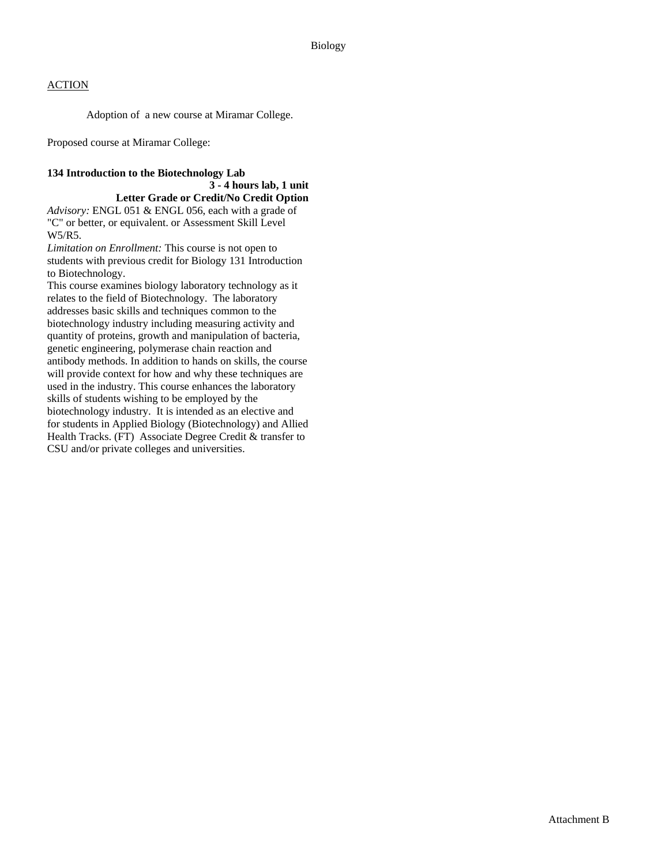Adoption of a new course at Miramar College.

Proposed course at Miramar College:

# **134 Introduction to the Biotechnology Lab**

# **3 - 4 hours lab, 1 unit**

**Letter Grade or Credit/No Credit Option**  *Advisory:* ENGL 051 & ENGL 056, each with a grade of "C" or better, or equivalent. or Assessment Skill Level W5/R5.

*Limitation on Enrollment:* This course is not open to students with previous credit for Biology 131 Introduction to Biotechnology.

This course examines biology laboratory technology as it relates to the field of Biotechnology. The laboratory addresses basic skills and techniques common to the biotechnology industry including measuring activity and quantity of proteins, growth and manipulation of bacteria, genetic engineering, polymerase chain reaction and antibody methods. In addition to hands on skills, the course will provide context for how and why these techniques are used in the industry. This course enhances the laboratory skills of students wishing to be employed by the biotechnology industry. It is intended as an elective and for students in Applied Biology (Biotechnology) and Allied Health Tracks. (FT) Associate Degree Credit & transfer to CSU and/or private colleges and universities.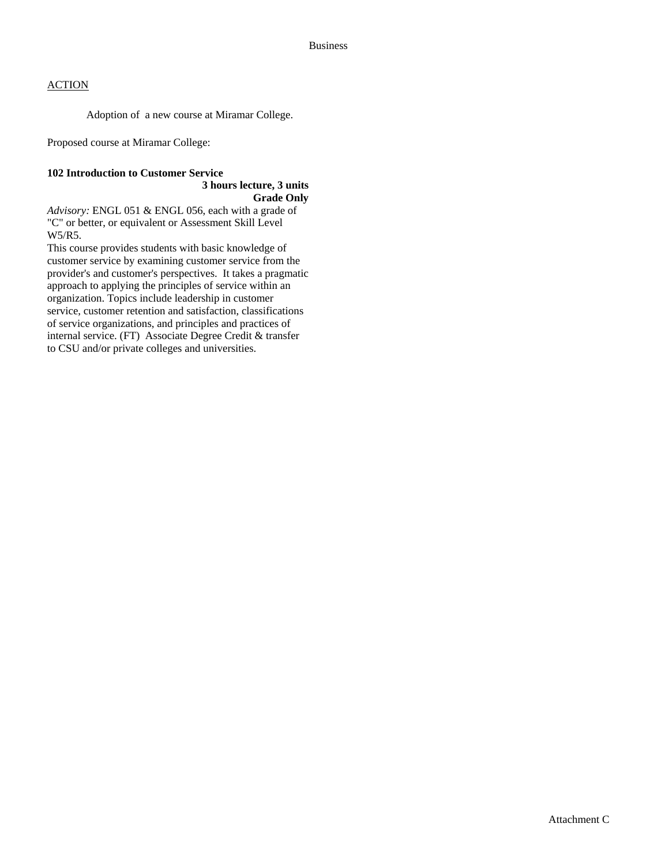Adoption of a new course at Miramar College.

Proposed course at Miramar College:

# **102 Introduction to Customer Service**

#### **3 hours lecture, 3 units Grade Only**

*Advisory:* ENGL 051 & ENGL 056, each with a grade of "C" or better, or equivalent or Assessment Skill Level W5/R5.

This course provides students with basic knowledge of customer service by examining customer service from the provider's and customer's perspectives. It takes a pragmatic approach to applying the principles of service within an organization. Topics include leadership in customer service, customer retention and satisfaction, classifications of service organizations, and principles and practices of internal service. (FT) Associate Degree Credit & transfer to CSU and/or private colleges and universities.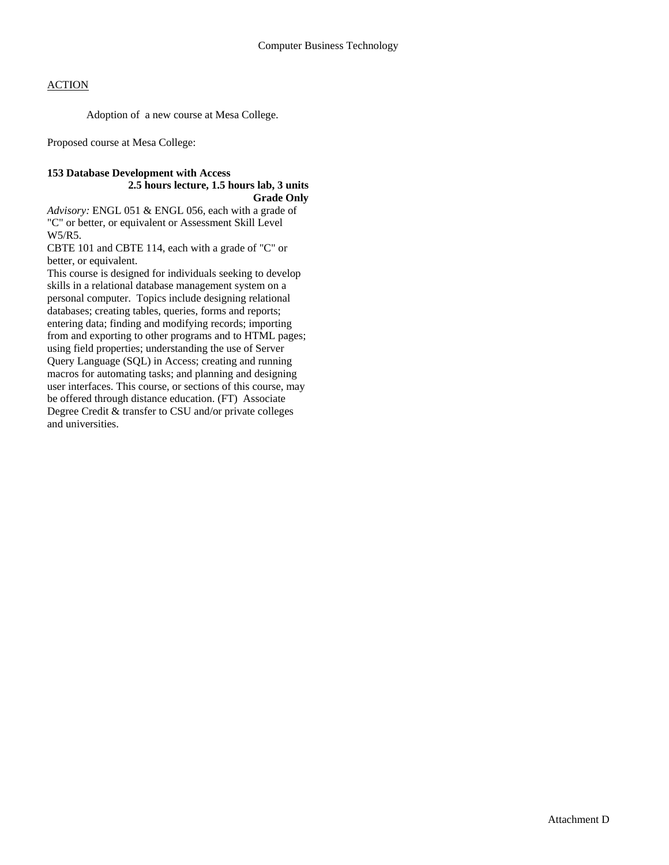Adoption of a new course at Mesa College.

Proposed course at Mesa College:

#### **153 Database Development with Access 2.5 hours lecture, 1.5 hours lab, 3 units Grade Only**

*Advisory:* ENGL 051 & ENGL 056, each with a grade of "C" or better, or equivalent or Assessment Skill Level W5/R5.

CBTE 101 and CBTE 114, each with a grade of "C" or better, or equivalent.

This course is designed for individuals seeking to develop skills in a relational database management system on a personal computer. Topics include designing relational databases; creating tables, queries, forms and reports; entering data; finding and modifying records; importing from and exporting to other programs and to HTML pages; using field properties; understanding the use of Server Query Language (SQL) in Access; creating and running macros for automating tasks; and planning and designing user interfaces. This course, or sections of this course, may be offered through distance education. (FT) Associate Degree Credit & transfer to CSU and/or private colleges and universities.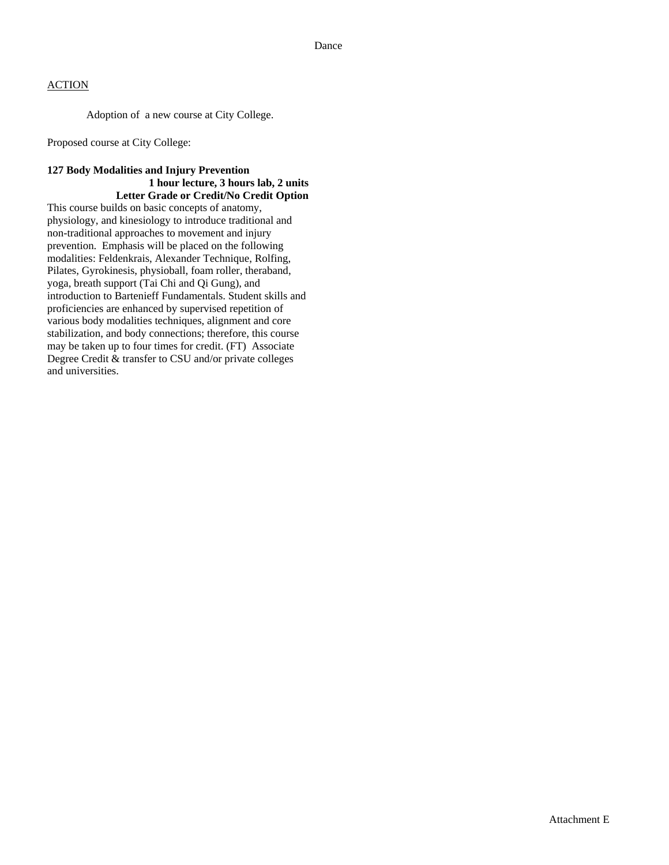Adoption of a new course at City College.

Proposed course at City College:

### **127 Body Modalities and Injury Prevention 1 hour lecture, 3 hours lab, 2 units Letter Grade or Credit/No Credit Option**

This course builds on basic concepts of anatomy, physiology, and kinesiology to introduce traditional and non-traditional approaches to movement and injury prevention. Emphasis will be placed on the following modalities: Feldenkrais, Alexander Technique, Rolfing, Pilates, Gyrokinesis, physioball, foam roller, theraband, yoga, breath support (Tai Chi and Qi Gung), and introduction to Bartenieff Fundamentals. Student skills and proficiencies are enhanced by supervised repetition of various body modalities techniques, alignment and core stabilization, and body connections; therefore, this course may be taken up to four times for credit. (FT) Associate Degree Credit & transfer to CSU and/or private colleges and universities.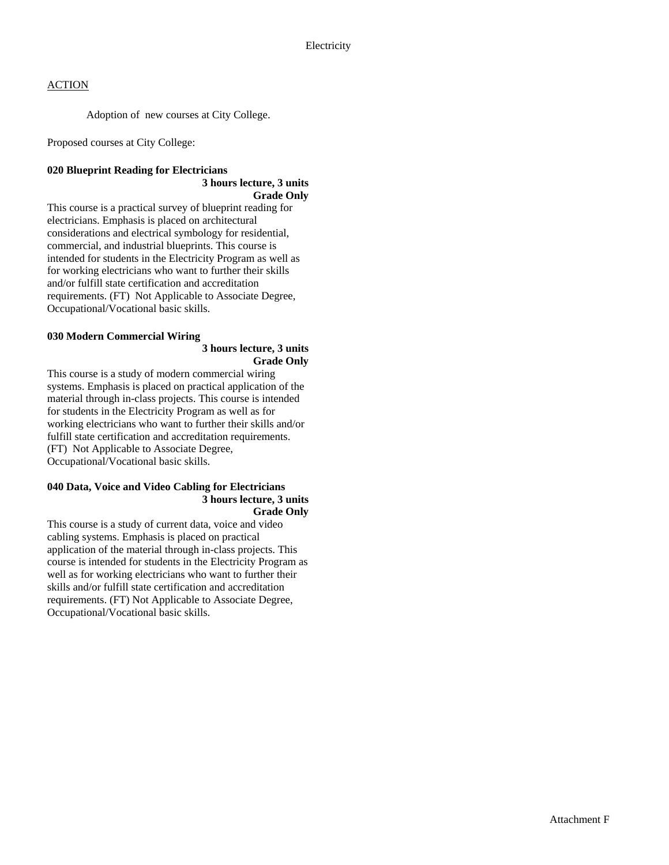Adoption of new courses at City College.

Proposed courses at City College:

# **020 Blueprint Reading for Electricians 3 hours lecture, 3 units**

**Grade Only** 

This course is a practical survey of blueprint reading for electricians. Emphasis is placed on architectural considerations and electrical symbology for residential, commercial, and industrial blueprints. This course is intended for students in the Electricity Program as well as for working electricians who want to further their skills and/or fulfill state certification and accreditation requirements. (FT) Not Applicable to Associate Degree, Occupational/Vocational basic skills.

# **030 Modern Commercial Wiring**

### **3 hours lecture, 3 units Grade Only**

This course is a study of modern commercial wiring systems. Emphasis is placed on practical application of the material through in-class projects. This course is intended for students in the Electricity Program as well as for working electricians who want to further their skills and/or fulfill state certification and accreditation requirements. (FT) Not Applicable to Associate Degree, Occupational/Vocational basic skills.

### **040 Data, Voice and Video Cabling for Electricians 3 hours lecture, 3 units Grade Only**

This course is a study of current data, voice and video cabling systems. Emphasis is placed on practical application of the material through in-class projects. This course is intended for students in the Electricity Program as well as for working electricians who want to further their skills and/or fulfill state certification and accreditation requirements. (FT) Not Applicable to Associate Degree, Occupational/Vocational basic skills.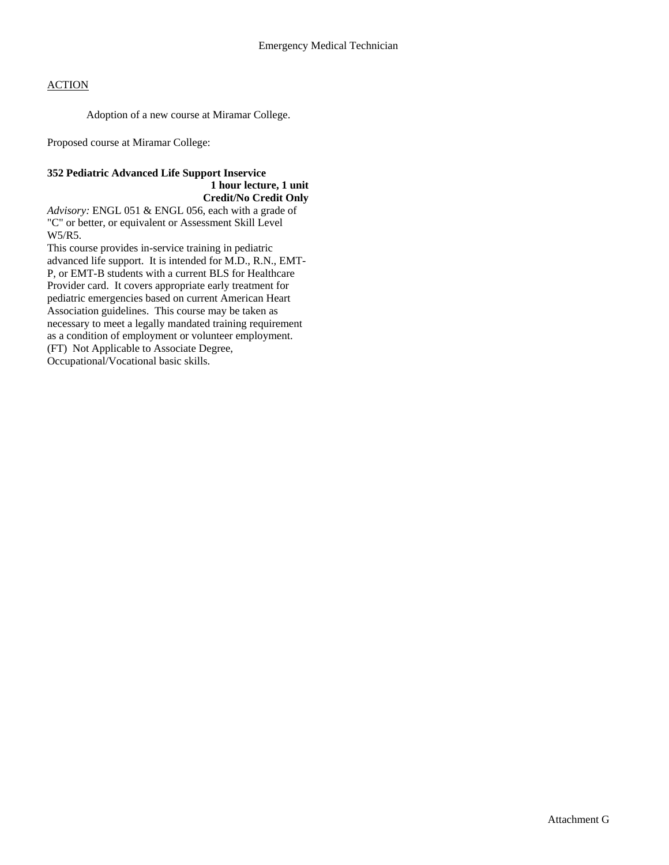Adoption of a new course at Miramar College.

Proposed course at Miramar College:

### **352 Pediatric Advanced Life Support Inservice 1 hour lecture, 1 unit Credit/No Credit Only**

*Advisory:* ENGL 051 & ENGL 056, each with a grade of "C" or better, or equivalent or Assessment Skill Level W5/R5.

This course provides in-service training in pediatric advanced life support. It is intended for M.D., R.N., EMT-P, or EMT-B students with a current BLS for Healthcare Provider card. It covers appropriate early treatment for pediatric emergencies based on current American Heart Association guidelines. This course may be taken as necessary to meet a legally mandated training requirement as a condition of employment or volunteer employment. (FT) Not Applicable to Associate Degree, Occupational/Vocational basic skills.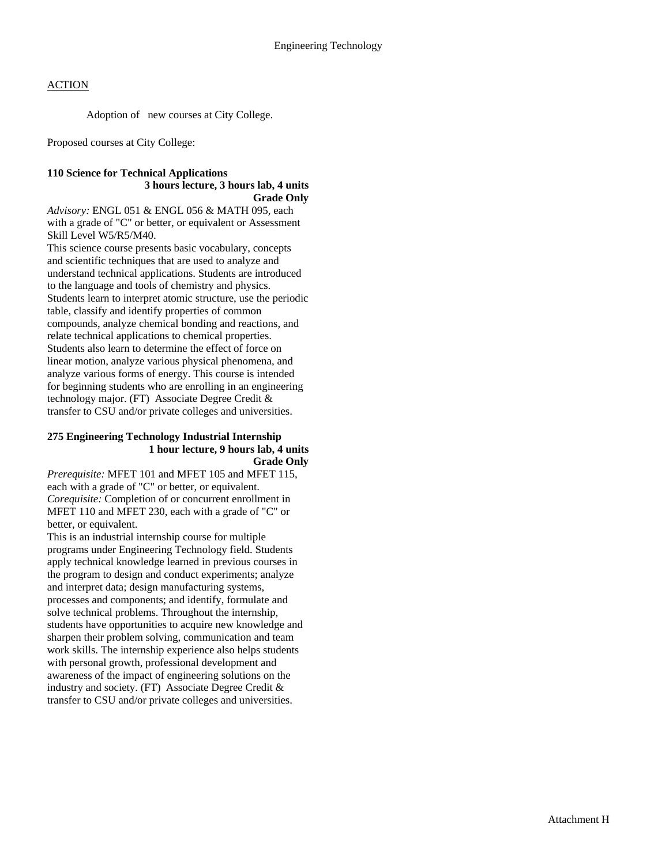Adoption of new courses at City College.

Proposed courses at City College:

### **110 Science for Technical Applications 3 hours lecture, 3 hours lab, 4 units Grade Only**

*Advisory:* ENGL 051 & ENGL 056 & MATH 095, each with a grade of "C" or better, or equivalent or Assessment Skill Level W5/R5/M40.

This science course presents basic vocabulary, concepts and scientific techniques that are used to analyze and understand technical applications. Students are introduced to the language and tools of chemistry and physics. Students learn to interpret atomic structure, use the periodic table, classify and identify properties of common compounds, analyze chemical bonding and reactions, and relate technical applications to chemical properties. Students also learn to determine the effect of force on linear motion, analyze various physical phenomena, and analyze various forms of energy. This course is intended for beginning students who are enrolling in an engineering technology major. (FT) Associate Degree Credit & transfer to CSU and/or private colleges and universities.

#### **275 Engineering Technology Industrial Internship 1 hour lecture, 9 hours lab, 4 units Grade Only**

*Prerequisite:* MFET 101 and MFET 105 and MFET 115, each with a grade of "C" or better, or equivalent. *Corequisite:* Completion of or concurrent enrollment in MFET 110 and MFET 230, each with a grade of "C" or better, or equivalent.

This is an industrial internship course for multiple programs under Engineering Technology field. Students apply technical knowledge learned in previous courses in the program to design and conduct experiments; analyze and interpret data; design manufacturing systems, processes and components; and identify, formulate and solve technical problems. Throughout the internship, students have opportunities to acquire new knowledge and sharpen their problem solving, communication and team work skills. The internship experience also helps students with personal growth, professional development and awareness of the impact of engineering solutions on the industry and society. (FT) Associate Degree Credit & transfer to CSU and/or private colleges and universities.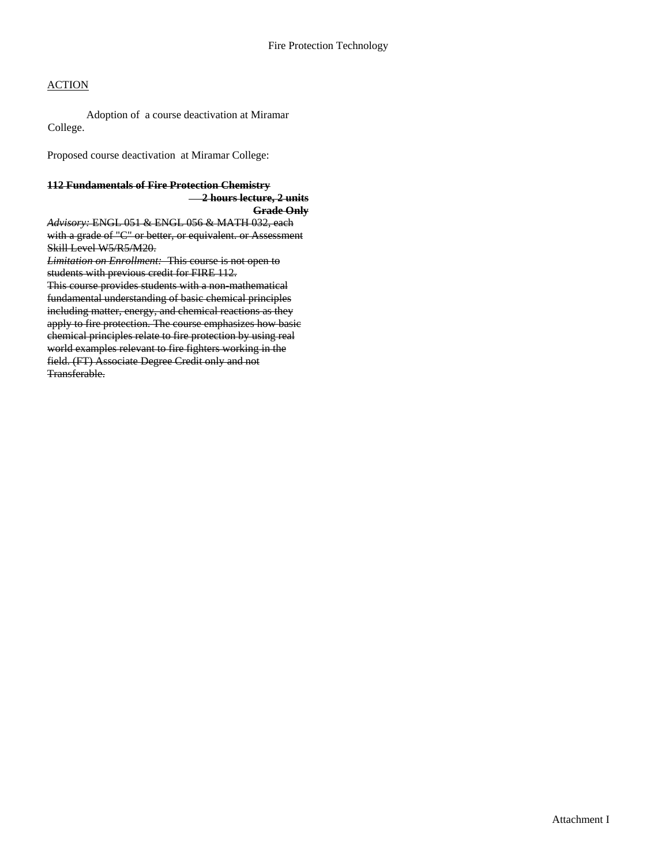Adoption of a course deactivation at Miramar College.

Proposed course deactivation at Miramar College:

#### **112 Fundamentals of Fire Protection Chemistry 2 hours lecture, 2 units Grade Only**

*Advisory:* ENGL 051 & ENGL 056 & MATH 032, each with a grade of "C" or better, or equivalent. or Assessment Skill Level W5/R5/M20.

*Limitation on Enrollment:* This course is not open to students with previous credit for FIRE 112. This course provides students with a non-mathematical fundamental understanding of basic chemical principles including matter, energy, and chemical reactions as they apply to fire protection. The course emphasizes how basic chemical principles relate to fire protection by using real world examples relevant to fire fighters working in the field. (FT) Associate Degree Credit only and not Transferable.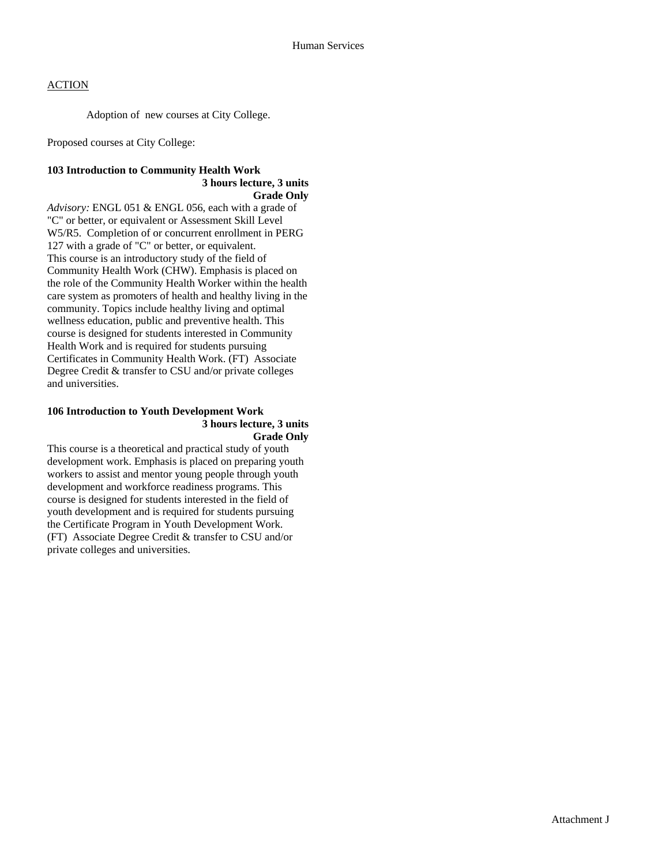Adoption of new courses at City College.

Proposed courses at City College:

# **103 Introduction to Community Health Work 3 hours lecture, 3 units**

**Grade Only** 

*Advisory:* ENGL 051 & ENGL 056, each with a grade of "C" or better, or equivalent or Assessment Skill Level W5/R5. Completion of or concurrent enrollment in PERG 127 with a grade of "C" or better, or equivalent. This course is an introductory study of the field of Community Health Work (CHW). Emphasis is placed on the role of the Community Health Worker within the health care system as promoters of health and healthy living in the community. Topics include healthy living and optimal wellness education, public and preventive health. This course is designed for students interested in Community Health Work and is required for students pursuing Certificates in Community Health Work. (FT) Associate Degree Credit & transfer to CSU and/or private colleges and universities.

#### **106 Introduction to Youth Development Work 3 hours lecture, 3 units Grade Only**

This course is a theoretical and practical study of youth development work. Emphasis is placed on preparing youth workers to assist and mentor young people through youth development and workforce readiness programs. This course is designed for students interested in the field of youth development and is required for students pursuing the Certificate Program in Youth Development Work. (FT) Associate Degree Credit & transfer to CSU and/or private colleges and universities.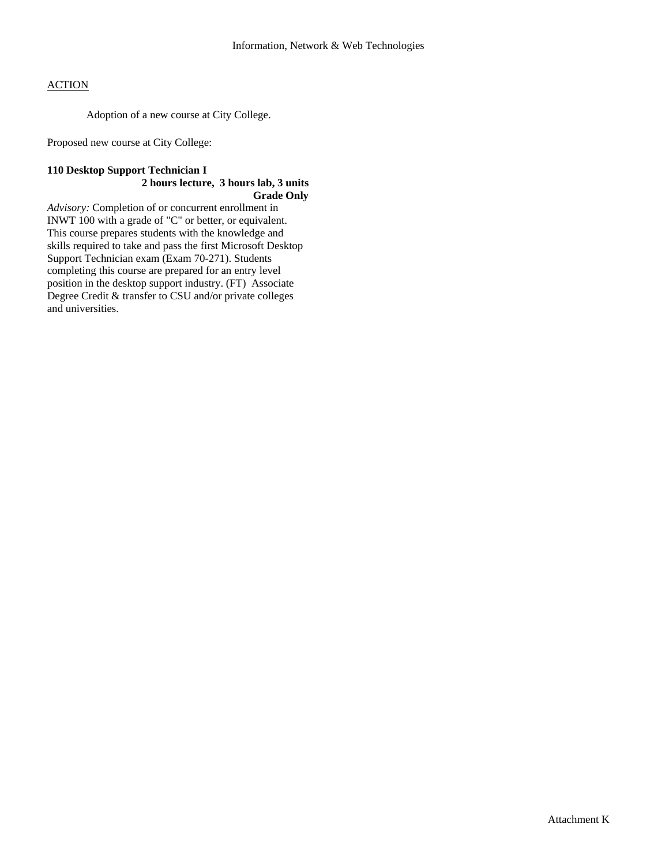Adoption of a new course at City College.

Proposed new course at City College:

# **110 Desktop Support Technician I 2 hours lecture, 3 hours lab, 3 units Grade Only**

*Advisory:* Completion of or concurrent enrollment in INWT 100 with a grade of "C" or better, or equivalent. This course prepares students with the knowledge and skills required to take and pass the first Microsoft Desktop Support Technician exam (Exam 70-271). Students completing this course are prepared for an entry level position in the desktop support industry. (FT) Associate Degree Credit & transfer to CSU and/or private colleges and universities.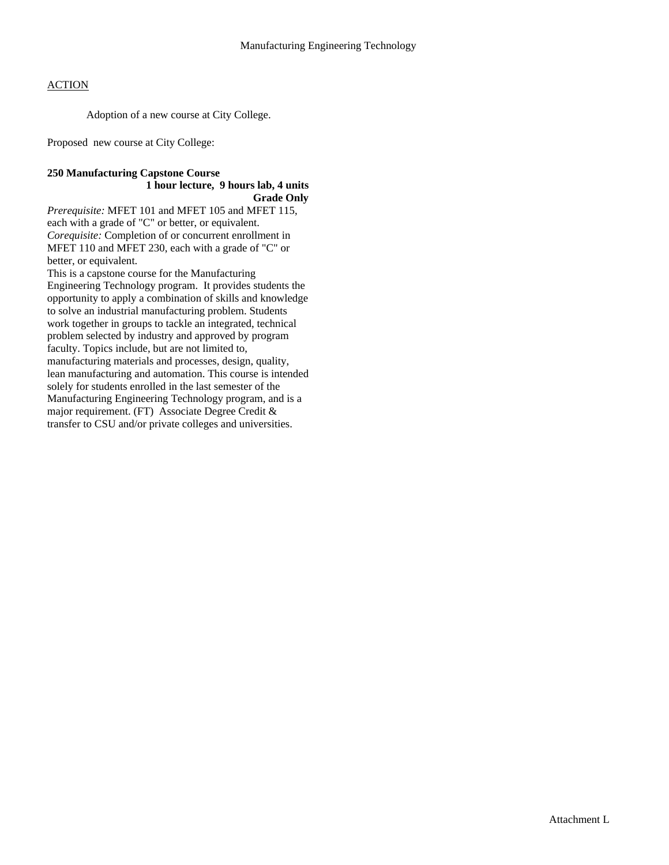Adoption of a new course at City College.

Proposed new course at City College:

#### **250 Manufacturing Capstone Course 1 hour lecture, 9 hours lab, 4 units Grade Only**

*Prerequisite:* MFET 101 and MFET 105 and MFET 115, each with a grade of "C" or better, or equivalent. *Corequisite:* Completion of or concurrent enrollment in MFET 110 and MFET 230, each with a grade of "C" or better, or equivalent.

This is a capstone course for the Manufacturing Engineering Technology program. It provides students the opportunity to apply a combination of skills and knowledge to solve an industrial manufacturing problem. Students work together in groups to tackle an integrated, technical problem selected by industry and approved by program faculty. Topics include, but are not limited to, manufacturing materials and processes, design, quality, lean manufacturing and automation. This course is intended solely for students enrolled in the last semester of the Manufacturing Engineering Technology program, and is a major requirement. (FT) Associate Degree Credit & transfer to CSU and/or private colleges and universities.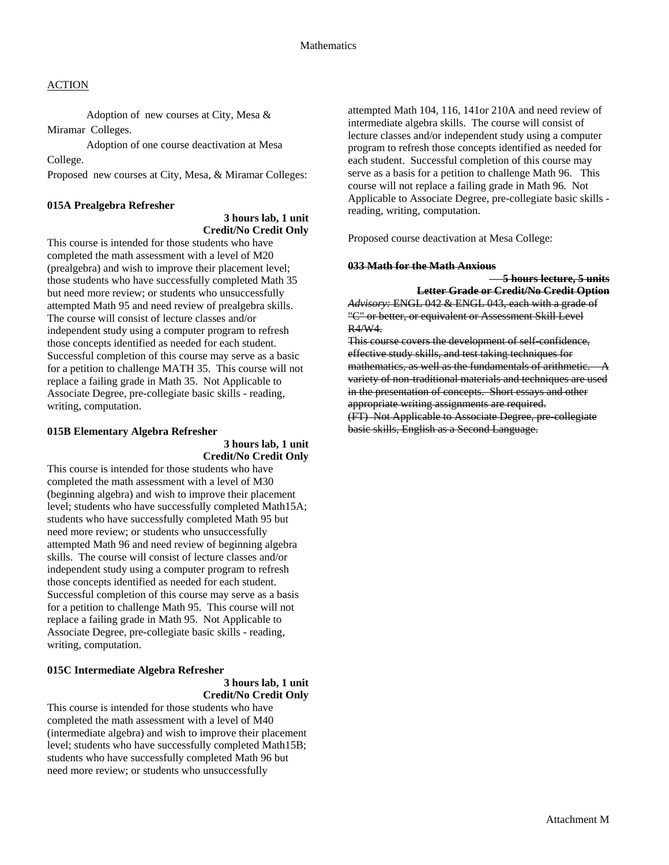Adoption of new courses at City, Mesa & Miramar Colleges.

 Adoption of one course deactivation at Mesa College.

Proposed new courses at City, Mesa, & Miramar Colleges:

#### **015A Prealgebra Refresher**

# **3 hours lab, 1 unit Credit/No Credit Only**

This course is intended for those students who have completed the math assessment with a level of M20 (prealgebra) and wish to improve their placement level; those students who have successfully completed Math 35 but need more review; or students who unsuccessfully attempted Math 95 and need review of prealgebra skills. The course will consist of lecture classes and/or independent study using a computer program to refresh those concepts identified as needed for each student. Successful completion of this course may serve as a basic for a petition to challenge MATH 35. This course will not replace a failing grade in Math 35. Not Applicable to Associate Degree, pre-collegiate basic skills - reading, writing, computation.

#### **015B Elementary Algebra Refresher**

 **3 hours lab, 1 unit Credit/No Credit Only** 

This course is intended for those students who have completed the math assessment with a level of M30 (beginning algebra) and wish to improve their placement level; students who have successfully completed Math15A; students who have successfully completed Math 95 but need more review; or students who unsuccessfully attempted Math 96 and need review of beginning algebra skills. The course will consist of lecture classes and/or independent study using a computer program to refresh those concepts identified as needed for each student. Successful completion of this course may serve as a basis for a petition to challenge Math 95. This course will not replace a failing grade in Math 95. Not Applicable to Associate Degree, pre-collegiate basic skills - reading, writing, computation.

# **015C Intermediate Algebra Refresher**

 **3 hours lab, 1 unit Credit/No Credit Only** 

This course is intended for those students who have completed the math assessment with a level of M40 (intermediate algebra) and wish to improve their placement level; students who have successfully completed Math15B; students who have successfully completed Math 96 but need more review; or students who unsuccessfully

attempted Math 104, 116, 141or 210A and need review of intermediate algebra skills. The course will consist of lecture classes and/or independent study using a computer program to refresh those concepts identified as needed for each student. Successful completion of this course may serve as a basis for a petition to challenge Math 96. This course will not replace a failing grade in Math 96. Not Applicable to Associate Degree, pre-collegiate basic skills reading, writing, computation.

Proposed course deactivation at Mesa College:

#### **033 Math for the Math Anxious**

 **5 hours lecture, 5 units Letter Grade or Credit/No Credit Option**

*Advisory:* ENGL 042 & ENGL 043, each with a grade of "C" or better, or equivalent or Assessment Skill Level R4/W4.

This course covers the development of self-confidence, effective study skills, and test taking techniques for mathematics, as well as the fundamentals of arithmetic. variety of non-traditional materials and techniques are used in the presentation of concepts. Short essays and other appropriate writing assignments are required. (FT) Not Applicable to Associate Degree, pre-collegiate basic skills, English as a Second Language.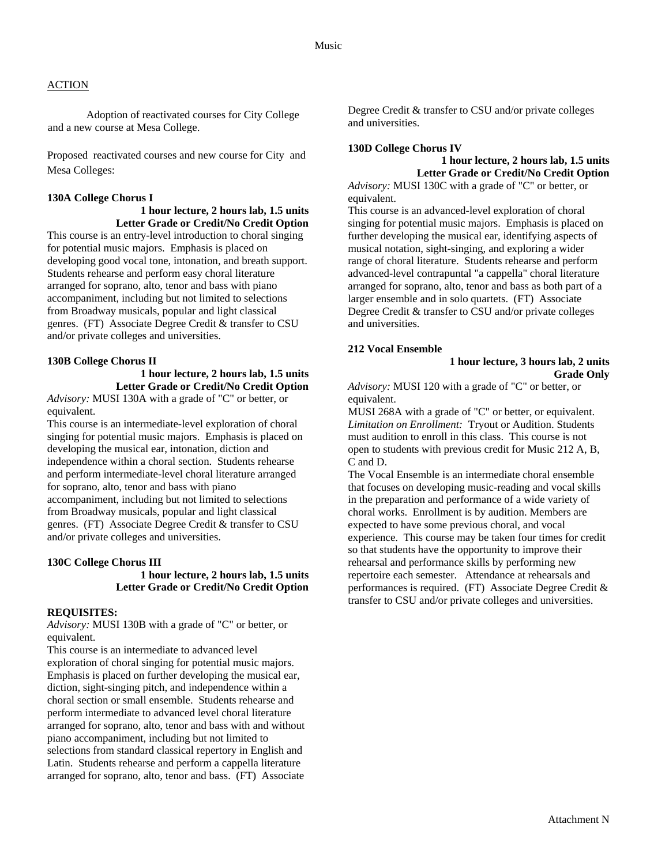Adoption of reactivated courses for City College and a new course at Mesa College.

Proposed reactivated courses and new course for City and Mesa Colleges:

### **130A College Chorus I**

#### **1 hour lecture, 2 hours lab, 1.5 units Letter Grade or Credit/No Credit Option**

This course is an entry-level introduction to choral singing for potential music majors. Emphasis is placed on developing good vocal tone, intonation, and breath support. Students rehearse and perform easy choral literature arranged for soprano, alto, tenor and bass with piano accompaniment, including but not limited to selections from Broadway musicals, popular and light classical genres. (FT) Associate Degree Credit & transfer to CSU and/or private colleges and universities.

## **130B College Chorus II**

# **1 hour lecture, 2 hours lab, 1.5 units Letter Grade or Credit/No Credit Option**

*Advisory:* MUSI 130A with a grade of "C" or better, or equivalent.

This course is an intermediate-level exploration of choral singing for potential music majors. Emphasis is placed on developing the musical ear, intonation, diction and independence within a choral section. Students rehearse and perform intermediate-level choral literature arranged for soprano, alto, tenor and bass with piano accompaniment, including but not limited to selections from Broadway musicals, popular and light classical genres. (FT) Associate Degree Credit & transfer to CSU and/or private colleges and universities.

#### **130C College Chorus III**

 **1 hour lecture, 2 hours lab, 1.5 units Letter Grade or Credit/No Credit Option** 

### **REQUISITES:**

*Advisory:* MUSI 130B with a grade of "C" or better, or equivalent.

This course is an intermediate to advanced level exploration of choral singing for potential music majors. Emphasis is placed on further developing the musical ear, diction, sight-singing pitch, and independence within a choral section or small ensemble. Students rehearse and perform intermediate to advanced level choral literature arranged for soprano, alto, tenor and bass with and without piano accompaniment, including but not limited to selections from standard classical repertory in English and Latin. Students rehearse and perform a cappella literature arranged for soprano, alto, tenor and bass. (FT) Associate

Degree Credit & transfer to CSU and/or private colleges and universities.

#### **130D College Chorus IV**

#### **1 hour lecture, 2 hours lab, 1.5 units Letter Grade or Credit/No Credit Option**

*Advisory:* MUSI 130C with a grade of "C" or better, or equivalent.

This course is an advanced-level exploration of choral singing for potential music majors. Emphasis is placed on further developing the musical ear, identifying aspects of musical notation, sight-singing, and exploring a wider range of choral literature. Students rehearse and perform advanced-level contrapuntal "a cappella" choral literature arranged for soprano, alto, tenor and bass as both part of a larger ensemble and in solo quartets. (FT) Associate Degree Credit & transfer to CSU and/or private colleges and universities.

#### **212 Vocal Ensemble**

#### **1 hour lecture, 3 hours lab, 2 units Grade Only**

*Advisory:* MUSI 120 with a grade of "C" or better, or equivalent.

MUSI 268A with a grade of "C" or better, or equivalent. *Limitation on Enrollment:* Tryout or Audition. Students must audition to enroll in this class. This course is not open to students with previous credit for Music 212 A, B, C and D.

The Vocal Ensemble is an intermediate choral ensemble that focuses on developing music-reading and vocal skills in the preparation and performance of a wide variety of choral works. Enrollment is by audition. Members are expected to have some previous choral, and vocal experience. This course may be taken four times for credit so that students have the opportunity to improve their rehearsal and performance skills by performing new repertoire each semester. Attendance at rehearsals and performances is required. (FT) Associate Degree Credit & transfer to CSU and/or private colleges and universities.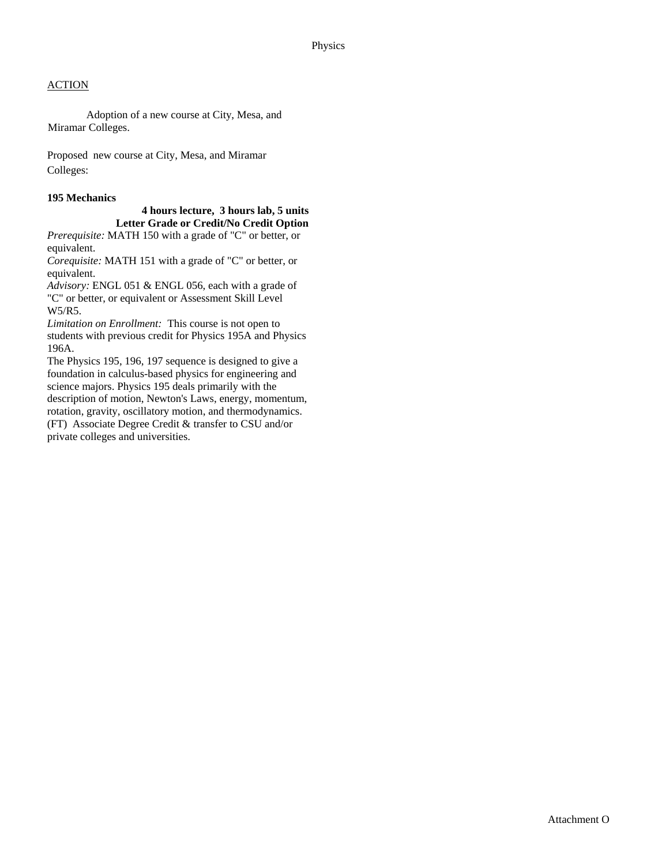Adoption of a new course at City, Mesa, and Miramar Colleges.

Proposed new course at City, Mesa, and Miramar Colleges:

### **195 Mechanics**

 **4 hours lecture, 3 hours lab, 5 units Letter Grade or Credit/No Credit Option**  *Prerequisite:* MATH 150 with a grade of "C" or better, or

equivalent.

*Corequisite:* MATH 151 with a grade of "C" or better, or equivalent.

*Advisory:* ENGL 051 & ENGL 056, each with a grade of "C" or better, or equivalent or Assessment Skill Level W5/R5.

*Limitation on Enrollment:* This course is not open to students with previous credit for Physics 195A and Physics 196A.

The Physics 195, 196, 197 sequence is designed to give a foundation in calculus-based physics for engineering and science majors. Physics 195 deals primarily with the description of motion, Newton's Laws, energy, momentum, rotation, gravity, oscillatory motion, and thermodynamics. (FT) Associate Degree Credit & transfer to CSU and/or private colleges and universities.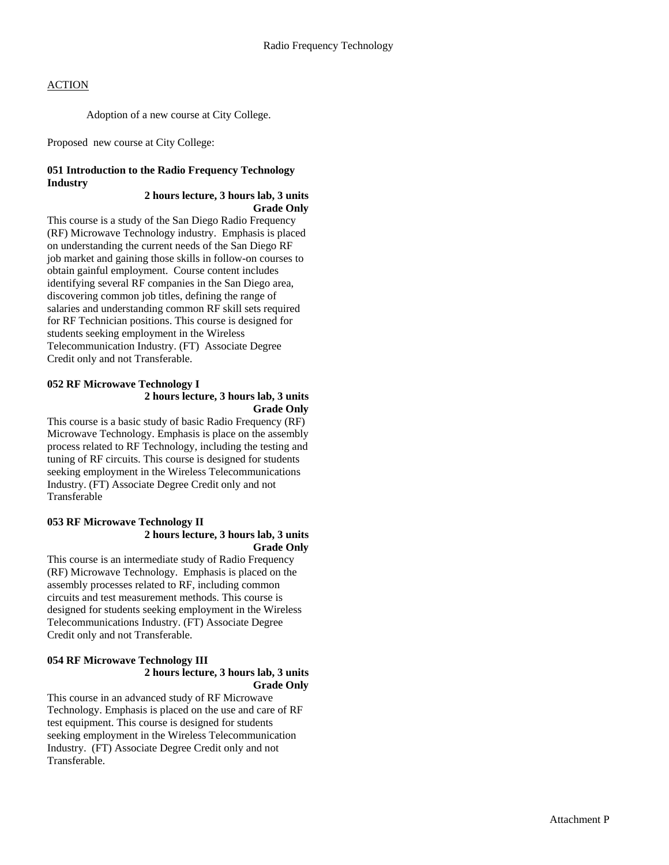Adoption of a new course at City College.

Proposed new course at City College:

# **051 Introduction to the Radio Frequency Technology Industry**

#### **2 hours lecture, 3 hours lab, 3 units Grade Only**

This course is a study of the San Diego Radio Frequency (RF) Microwave Technology industry. Emphasis is placed on understanding the current needs of the San Diego RF job market and gaining those skills in follow-on courses to obtain gainful employment. Course content includes identifying several RF companies in the San Diego area, discovering common job titles, defining the range of salaries and understanding common RF skill sets required for RF Technician positions. This course is designed for students seeking employment in the Wireless Telecommunication Industry. (FT) Associate Degree Credit only and not Transferable.

### **052 RF Microwave Technology I 2 hours lecture, 3 hours lab, 3 units Grade Only**

This course is a basic study of basic Radio Frequency (RF) Microwave Technology. Emphasis is place on the assembly process related to RF Technology, including the testing and tuning of RF circuits. This course is designed for students seeking employment in the Wireless Telecommunications Industry. (FT) Associate Degree Credit only and not Transferable

#### **053 RF Microwave Technology II 2 hours lecture, 3 hours lab, 3 units Grade Only**

This course is an intermediate study of Radio Frequency (RF) Microwave Technology. Emphasis is placed on the assembly processes related to RF, including common circuits and test measurement methods. This course is designed for students seeking employment in the Wireless Telecommunications Industry. (FT) Associate Degree Credit only and not Transferable.

### **054 RF Microwave Technology III 2 hours lecture, 3 hours lab, 3 units Grade Only**

This course in an advanced study of RF Microwave Technology. Emphasis is placed on the use and care of RF test equipment. This course is designed for students seeking employment in the Wireless Telecommunication Industry. (FT) Associate Degree Credit only and not Transferable.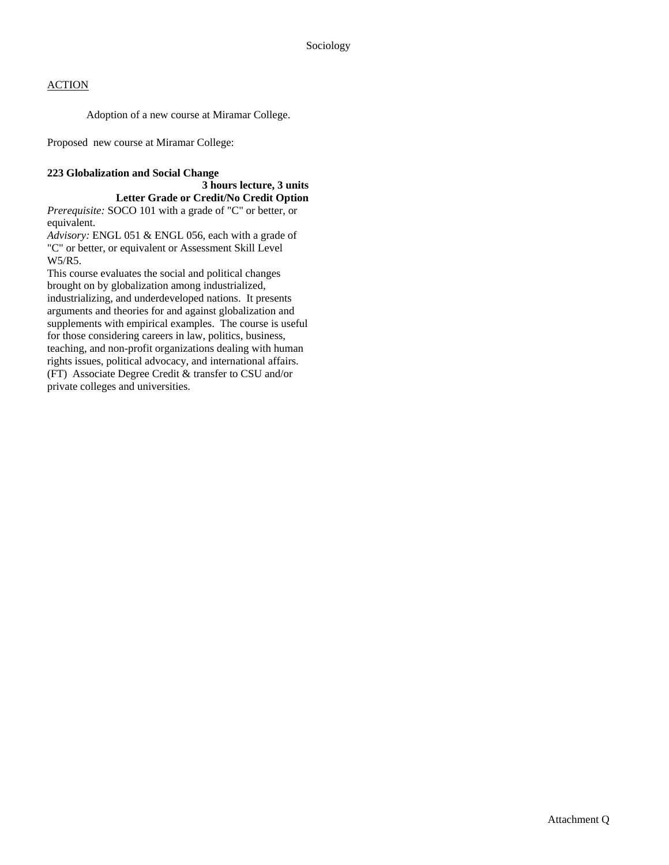Adoption of a new course at Miramar College.

Proposed new course at Miramar College:

### **223 Globalization and Social Change**

#### **3 hours lecture, 3 units Letter Grade or Credit/No Credit Option**

*Prerequisite:* SOCO 101 with a grade of "C" or better, or equivalent.

*Advisory:* ENGL 051 & ENGL 056, each with a grade of "C" or better, or equivalent or Assessment Skill Level W5/R5.

This course evaluates the social and political changes brought on by globalization among industrialized, industrializing, and underdeveloped nations. It presents arguments and theories for and against globalization and supplements with empirical examples. The course is useful for those considering careers in law, politics, business, teaching, and non-profit organizations dealing with human rights issues, political advocacy, and international affairs. (FT) Associate Degree Credit & transfer to CSU and/or private colleges and universities.